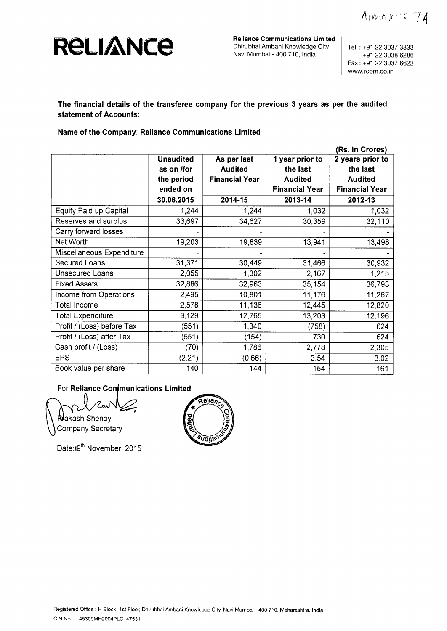Amonic 74



**Reliance Communications Limited** Dhirubhai Ambani Knowledge City Navi Mumbai - 400 710, India

Tel : +91 22 3037 3333 +91 22 3038 6286 Fax : +91 22 3037 6622 www.rcom.co.in

**The financial details of the transferee company for the previous 3 years as per the audited statement of Accounts:**

## **Name of the Company** : **Reliance Communications Limited**

|                            | (Rs. in Crores)  |                       |                       |                       |
|----------------------------|------------------|-----------------------|-----------------------|-----------------------|
|                            | <b>Unaudited</b> | As per last           | 1 year prior to       | 2 years prior to      |
|                            | as on /for       | <b>Audited</b>        | the last              | the last              |
|                            | the period       | <b>Financial Year</b> | <b>Audited</b>        | <b>Audited</b>        |
|                            | ended on         |                       | <b>Financial Year</b> | <b>Financial Year</b> |
|                            | 30.06.2015       | 2014-15               | 2013-14               | 2012-13               |
| Equity Paid up Capital     | 1,244            | 1,244                 | 1,032                 | 1,032                 |
| Reserves and surplus       | 33,697           | 34,627                | 30,359                | 32,110                |
| Carry forward losses       |                  |                       |                       |                       |
| Net Worth                  | 19,203           | 19,839                | 13,941                | 13,498                |
| Miscellaneous Expenditure  |                  |                       |                       |                       |
| Secured Loans              | 31,371           | 30,449                | 31,466                | 30,932                |
| <b>Unsecured Loans</b>     | 2,055            | 1,302                 | 2,167                 | 1,215                 |
| <b>Fixed Assets</b>        | 32,886           | 32,963                | 35,154                | 36,793                |
| Income from Operations     | 2,495            | 10,801                | 11,176                | 11,267                |
| <b>Total Income</b>        | 2,578            | 11,136                | 12,445                | 12,820                |
| <b>Total Expenditure</b>   | 3,129            | 12,765                | 13,203                | 12,196                |
| Profit / (Loss) before Tax | (551)            | 1,340                 | (758)                 | 624                   |
| Profit / (Loss) after Tax  | (551)            | (154)                 | 730                   | 624                   |
| Cash profit / (Loss)       | (70)             | 1,786                 | 2,778                 | 2,305                 |
| <b>EPS</b>                 | (2.21)           | (0.66)                | 3.54                  | 3.02                  |
| Book value per share       | 140              | 144                   | 154                   | 161                   |

For Reliance **Conimunications** Limited

**Nakash Shenoy Company Secretary** 

Date: 19<sup>th</sup> November, 2015